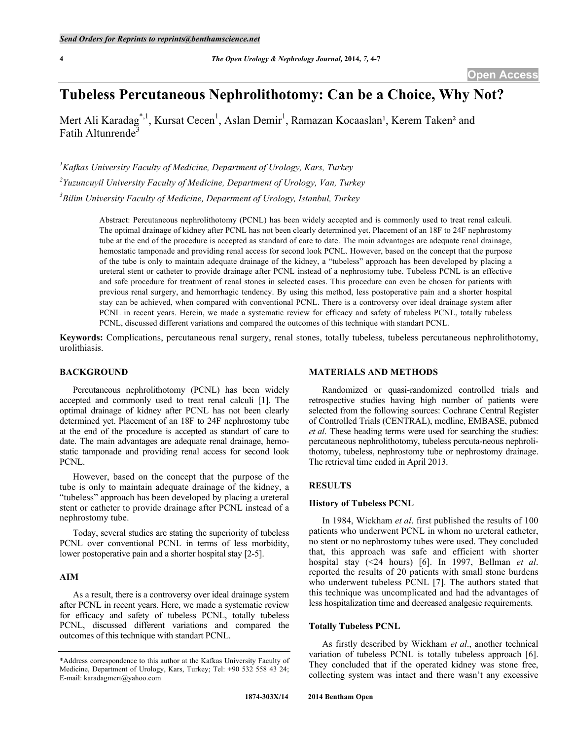# **Tubeless Percutaneous Nephrolithotomy: Can be a Choice, Why Not?**

Mert Ali Karadag<sup>\*, 1</sup>, Kursat Cecen<sup>1</sup>, Aslan Demir<sup>1</sup>, Ramazan Kocaaslan<sup>1</sup>, Kerem Taken<sup>2</sup> and Fatih Altunrende<sup>3</sup>

*1 Kafkas University Faculty of Medicine, Department of Urology, Kars, Turkey 2 Yuzuncuyil University Faculty of Medicine, Department of Urology, Van, Turkey 3 Bilim University Faculty of Medicine, Department of Urology, Istanbul, Turkey*

> Abstract: Percutaneous nephrolithotomy (PCNL) has been widely accepted and is commonly used to treat renal calculi. The optimal drainage of kidney after PCNL has not been clearly determined yet. Placement of an 18F to 24F nephrostomy tube at the end of the procedure is accepted as standard of care to date. The main advantages are adequate renal drainage, hemostatic tamponade and providing renal access for second look PCNL. However, based on the concept that the purpose of the tube is only to maintain adequate drainage of the kidney, a "tubeless" approach has been developed by placing a ureteral stent or catheter to provide drainage after PCNL instead of a nephrostomy tube. Tubeless PCNL is an effective and safe procedure for treatment of renal stones in selected cases. This procedure can even be chosen for patients with previous renal surgery, and hemorrhagic tendency. By using this method, less postoperative pain and a shorter hospital stay can be achieved, when compared with conventional PCNL. There is a controversy over ideal drainage system after PCNL in recent years. Herein, we made a systematic review for efficacy and safety of tubeless PCNL, totally tubeless PCNL, discussed different variations and compared the outcomes of this technique with standart PCNL.

**Keywords:** Complications, percutaneous renal surgery, renal stones, totally tubeless, tubeless percutaneous nephrolithotomy, urolithiasis.

#### **BACKGROUND**

Percutaneous nephrolithotomy (PCNL) has been widely accepted and commonly used to treat renal calculi [1]. The optimal drainage of kidney after PCNL has not been clearly determined yet. Placement of an 18F to 24F nephrostomy tube at the end of the procedure is accepted as standart of care to date. The main advantages are adequate renal drainage, hemostatic tamponade and providing renal access for second look PCNL.

However, based on the concept that the purpose of the tube is only to maintain adequate drainage of the kidney, a "tubeless" approach has been developed by placing a ureteral stent or catheter to provide drainage after PCNL instead of a nephrostomy tube.

Today, several studies are stating the superiority of tubeless PCNL over conventional PCNL in terms of less morbidity, lower postoperative pain and a shorter hospital stay [2-5].

### **AIM**

As a result, there is a controversy over ideal drainage system after PCNL in recent years. Here, we made a systematic review for efficacy and safety of tubeless PCNL, totally tubeless PCNL, discussed different variations and compared the outcomes of this technique with standart PCNL.

#### **MATERIALS AND METHODS**

Randomized or quasi-randomized controlled trials and retrospective studies having high number of patients were selected from the following sources: Cochrane Central Register of Controlled Trials (CENTRAL), medline, EMBASE, pubmed *et al*. These heading terms were used for searching the studies: percutaneous nephrolithotomy, tubeless percuta-neous nephrolithotomy, tubeless, nephrostomy tube or nephrostomy drainage. The retrieval time ended in April 2013.

### **RESULTS**

#### **History of Tubeless PCNL**

In 1984, Wickham *et al*. first published the results of 100 patients who underwent PCNL in whom no ureteral catheter, no stent or no nephrostomy tubes were used. They concluded that, this approach was safe and efficient with shorter hospital stay (<24 hours) [6]. In 1997, Bellman *et al*. reported the results of 20 patients with small stone burdens who underwent tubeless PCNL [7]. The authors stated that this technique was uncomplicated and had the advantages of less hospitalization time and decreased analgesic requirements.

#### **Totally Tubeless PCNL**

As firstly described by Wickham *et al*., another technical variation of tubeless PCNL is totally tubeless approach [6]. They concluded that if the operated kidney was stone free, collecting system was intact and there wasn't any excessive

<sup>\*</sup>Address correspondence to this author at the Kafkas University Faculty of Medicine, Department of Urology, Kars, Turkey; Tel: +90 532 558 43 24; E-mail: karadagmert@yahoo.com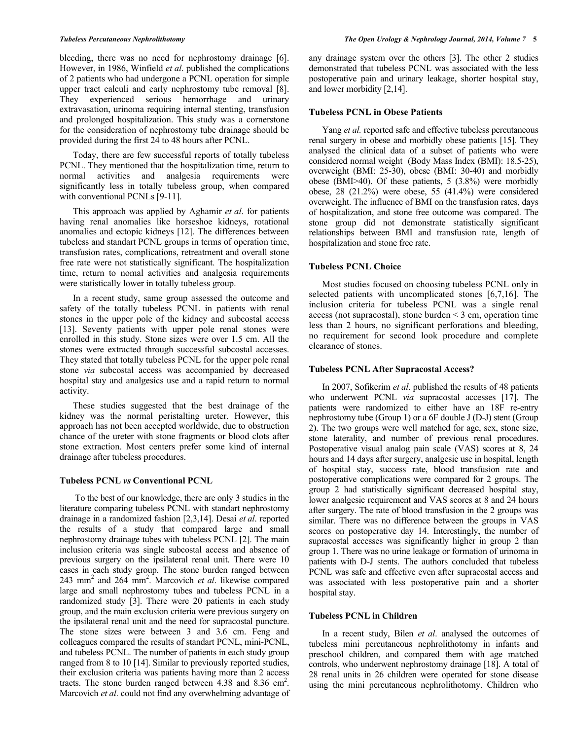bleeding, there was no need for nephrostomy drainage [6]. However, in 1986, Winfield *et al*. published the complications of 2 patients who had undergone a PCNL operation for simple upper tract calculi and early nephrostomy tube removal [8]. They experienced serious hemorrhage and urinary extravasation, urinoma requiring internal stenting, transfusion and prolonged hospitalization. This study was a cornerstone for the consideration of nephrostomy tube drainage should be provided during the first 24 to 48 hours after PCNL.

Today, there are few successful reports of totally tubeless PCNL. They mentioned that the hospitalization time, return to normal activities and analgesia requirements were significantly less in totally tubeless group, when compared with conventional PCNLs [9-11].

This approach was applied by Aghamir *et al*. for patients having renal anomalies like horseshoe kidneys, rotational anomalies and ectopic kidneys [12]. The differences between tubeless and standart PCNL groups in terms of operation time, transfusion rates, complications, retreatment and overall stone free rate were not statistically significant. The hospitalization time, return to nomal activities and analgesia requirements were statistically lower in totally tubeless group.

In a recent study, same group assessed the outcome and safety of the totally tubeless PCNL in patients with renal stones in the upper pole of the kidney and subcostal access [13]. Seventy patients with upper pole renal stones were enrolled in this study. Stone sizes were over 1.5 cm. All the stones were extracted through successful subcostal accesses. They stated that totally tubeless PCNL for the upper pole renal stone *via* subcostal access was accompanied by decreased hospital stay and analgesics use and a rapid return to normal activity.

These studies suggested that the best drainage of the kidney was the normal peristalting ureter. However, this approach has not been accepted worldwide, due to obstruction chance of the ureter with stone fragments or blood clots after stone extraction. Most centers prefer some kind of internal drainage after tubeless procedures.

#### **Tubeless PCNL** *vs* **Conventional PCNL**

To the best of our knowledge, there are only 3 studies in the literature comparing tubeless PCNL with standart nephrostomy drainage in a randomized fashion [2,3,14]. Desai *et al*. reported the results of a study that compared large and small nephrostomy drainage tubes with tubeless PCNL [2]. The main inclusion criteria was single subcostal access and absence of previous surgery on the ipsilateral renal unit. There were 10 cases in each study group. The stone burden ranged between 243 mm2 and 264 mm2 . Marcovich *et al*. likewise compared large and small nephrostomy tubes and tubeless PCNL in a randomized study [3]. There were 20 patients in each study group, and the main exclusion criteria were previous surgery on the ipsilateral renal unit and the need for supracostal puncture. The stone sizes were between 3 and 3.6 cm. Feng and colleagues compared the results of standart PCNL, mini-PCNL, and tubeless PCNL. The number of patients in each study group ranged from 8 to 10 [14]. Similar to previously reported studies, their exclusion criteria was patients having more than 2 access tracts. The stone burden ranged between  $4.38$  and  $8.36$  cm<sup>2</sup>. Marcovich *et al*. could not find any overwhelming advantage of any drainage system over the others [3]. The other 2 studies demonstrated that tubeless PCNL was associated with the less postoperative pain and urinary leakage, shorter hospital stay, and lower morbidity [2,14].

#### **Tubeless PCNL in Obese Patients**

Yang *et al.* reported safe and effective tubeless percutaneous renal surgery in obese and morbidly obese patients [15]. They analysed the clinical data of a subset of patients who were considered normal weight (Body Mass Index (BMI): 18.5-25), overweight (BMI: 25-30), obese (BMI: 30-40) and morbidly obese (BMI>40). Of these patients, 5 (3.8%) were morbidly obese, 28 (21.2%) were obese, 55 (41.4%) were considered overweight. The influence of BMI on the transfusion rates, days of hospitalization, and stone free outcome was compared. The stone group did not demonstrate statistically significant relationships between BMI and transfusion rate, length of hospitalization and stone free rate.

# **Tubeless PCNL Choice**

Most studies focused on choosing tubeless PCNL only in selected patients with uncomplicated stones [6,7,16]. The inclusion criteria for tubeless PCNL was a single renal access (not supracostal), stone burden < 3 cm, operation time less than 2 hours, no significant perforations and bleeding, no requirement for second look procedure and complete clearance of stones.

#### **Tubeless PCNL After Supracostal Access?**

In 2007, Sofikerim *et al*. published the results of 48 patients who underwent PCNL *via* supracostal accesses [17]. The patients were randomized to either have an 18F re-entry nephrostomy tube (Group 1) or a 6F double J (D-J) stent (Group 2). The two groups were well matched for age, sex, stone size, stone laterality, and number of previous renal procedures. Postoperative visual analog pain scale (VAS) scores at 8, 24 hours and 14 days after surgery, analgesic use in hospital, length of hospital stay, success rate, blood transfusion rate and postoperative complications were compared for 2 groups. The group 2 had statistically significant decreased hospital stay, lower analgesic requirement and VAS scores at 8 and 24 hours after surgery. The rate of blood transfusion in the 2 groups was similar. There was no difference between the groups in VAS scores on postoperative day 14. Interestingly, the number of supracostal accesses was significantly higher in group 2 than group 1. There was no urine leakage or formation of urinoma in patients with D-J stents. The authors concluded that tubeless PCNL was safe and effective even after supracostal access and was associated with less postoperative pain and a shorter hospital stay.

#### **Tubeless PCNL in Children**

In a recent study, Bilen *et al*. analysed the outcomes of tubeless mini percutaneous nephrolithotomy in infants and preschool children, and compared them with age matched controls, who underwent nephrostomy drainage [18]. A total of 28 renal units in 26 children were operated for stone disease using the mini percutaneous nephrolithotomy. Children who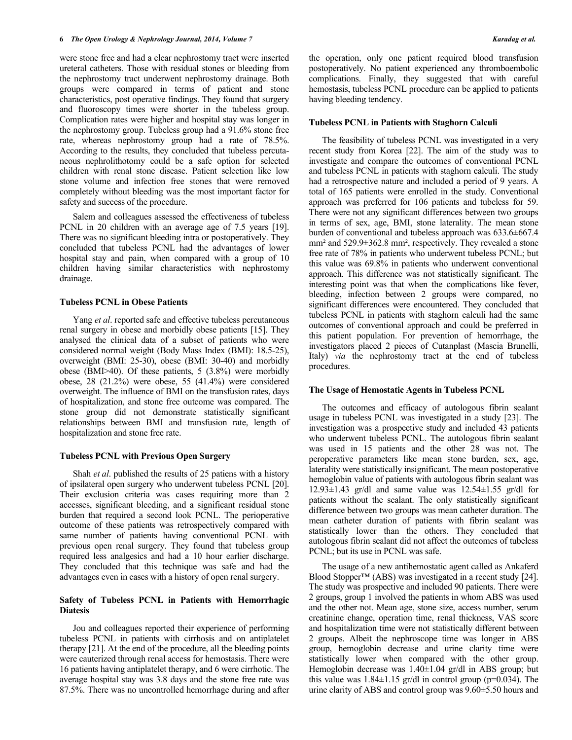were stone free and had a clear nephrostomy tract were inserted ureteral catheters. Those with residual stones or bleeding from the nephrostomy tract underwent nephrostomy drainage. Both groups were compared in terms of patient and stone characteristics, post operative findings. They found that surgery and fluoroscopy times were shorter in the tubeless group. Complication rates were higher and hospital stay was longer in the nephrostomy group. Tubeless group had a 91.6% stone free rate, whereas nephrostomy group had a rate of 78.5%. According to the results, they concluded that tubeless percutaneous nephrolithotomy could be a safe option for selected children with renal stone disease. Patient selection like low stone volume and infection free stones that were removed completely without bleeding was the most important factor for safety and success of the procedure.

Salem and colleagues assessed the effectiveness of tubeless PCNL in 20 children with an average age of 7.5 years [19]. There was no significant bleeding intra or postoperatively. They concluded that tubeless PCNL had the advantages of lower hospital stay and pain, when compared with a group of 10 children having similar characteristics with nephrostomy drainage.

#### **Tubeless PCNL in Obese Patients**

Yang *et al*. reported safe and effective tubeless percutaneous renal surgery in obese and morbidly obese patients [15]. They analysed the clinical data of a subset of patients who were considered normal weight (Body Mass Index (BMI): 18.5-25), overweight (BMI: 25-30), obese (BMI: 30-40) and morbidly obese (BMI>40). Of these patients, 5 (3.8%) were morbidly obese, 28 (21.2%) were obese, 55 (41.4%) were considered overweight. The influence of BMI on the transfusion rates, days of hospitalization, and stone free outcome was compared. The stone group did not demonstrate statistically significant relationships between BMI and transfusion rate, length of hospitalization and stone free rate.

## **Tubeless PCNL with Previous Open Surgery**

Shah *et al*. published the results of 25 patiens with a history of ipsilateral open surgery who underwent tubeless PCNL [20]. Their exclusion criteria was cases requiring more than 2 accesses, significant bleeding, and a significant residual stone burden that required a second look PCNL. The perioperative outcome of these patients was retrospectively compared with same number of patients having conventional PCNL with previous open renal surgery. They found that tubeless group required less analgesics and had a 10 hour earlier discharge. They concluded that this technique was safe and had the advantages even in cases with a history of open renal surgery.

# **Safety of Tubeless PCNL in Patients with Hemorrhagic Diatesis**

Jou and colleagues reported their experience of performing tubeless PCNL in patients with cirrhosis and on antiplatelet therapy [21]. At the end of the procedure, all the bleeding points were cauterized through renal access for hemostasis. There were 16 patients having antiplatelet therapy, and 6 were cirrhotic. The average hospital stay was 3.8 days and the stone free rate was 87.5%. There was no uncontrolled hemorrhage during and after

the operation, only one patient required blood transfusion postoperatively. No patient experienced any thromboembolic complications. Finally, they suggested that with careful hemostasis, tubeless PCNL procedure can be applied to patients having bleeding tendency.

#### **Tubeless PCNL in Patients with Staghorn Calculi**

The feasibility of tubeless PCNL was investigated in a very recent study from Korea [22]. The aim of the study was to investigate and compare the outcomes of conventional PCNL and tubeless PCNL in patients with staghorn calculi. The study had a retrospective nature and included a period of 9 years. A total of 165 patients were enrolled in the study. Conventional approach was preferred for 106 patients and tubeless for 59. There were not any significant differences between two groups in terms of sex, age, BMI, stone laterality. The mean stone burden of conventional and tubeless approach was 633.6±667.4 mm² and 529.9±362.8 mm², respectively. They revealed a stone free rate of 78% in patients who underwent tubeless PCNL; but this value was 69.8% in patients who underwent conventional approach. This difference was not statistically significant. The interesting point was that when the complications like fever, bleeding, infection between 2 groups were compared, no significant differences were encountered. They concluded that tubeless PCNL in patients with staghorn calculi had the same outcomes of conventional approach and could be preferred in this patient population. For prevention of hemorrhage, the investigators placed 2 pieces of Cutanplast (Mascia Brunelli, Italy) *via* the nephrostomy tract at the end of tubeless procedures.

### **The Usage of Hemostatic Agents in Tubeless PCNL**

The outcomes and efficacy of autologous fibrin sealant usage in tubeless PCNL was investigated in a study [23]. The investigation was a prospective study and included 43 patients who underwent tubeless PCNL. The autologous fibrin sealant was used in 15 patients and the other 28 was not. The peroperative parameters like mean stone burden, sex, age, laterality were statistically insignificant. The mean postoperative hemoglobin value of patients with autologous fibrin sealant was 12.93±1.43 gr/dl and same value was 12.54±1.55 gr/dl for patients without the sealant. The only statistically significant difference between two groups was mean catheter duration. The mean catheter duration of patients with fibrin sealant was statistically lower than the others. They concluded that autologous fibrin sealant did not affect the outcomes of tubeless PCNL; but its use in PCNL was safe.

The usage of a new antihemostatic agent called as Ankaferd Blood Stopper™ (ABS) was investigated in a recent study [24]. The study was prospective and included 90 patients. There were 2 groups, group 1 involved the patients in whom ABS was used and the other not. Mean age, stone size, access number, serum creatinine change, operation time, renal thickness, VAS score and hospitalization time were not statistically different between 2 groups. Albeit the nephroscope time was longer in ABS group, hemoglobin decrease and urine clarity time were statistically lower when compared with the other group. Hemoglobin decrease was 1.40±1.04 gr/dl in ABS group; but this value was  $1.84 \pm 1.15$  gr/dl in control group (p=0.034). The urine clarity of ABS and control group was 9.60±5.50 hours and